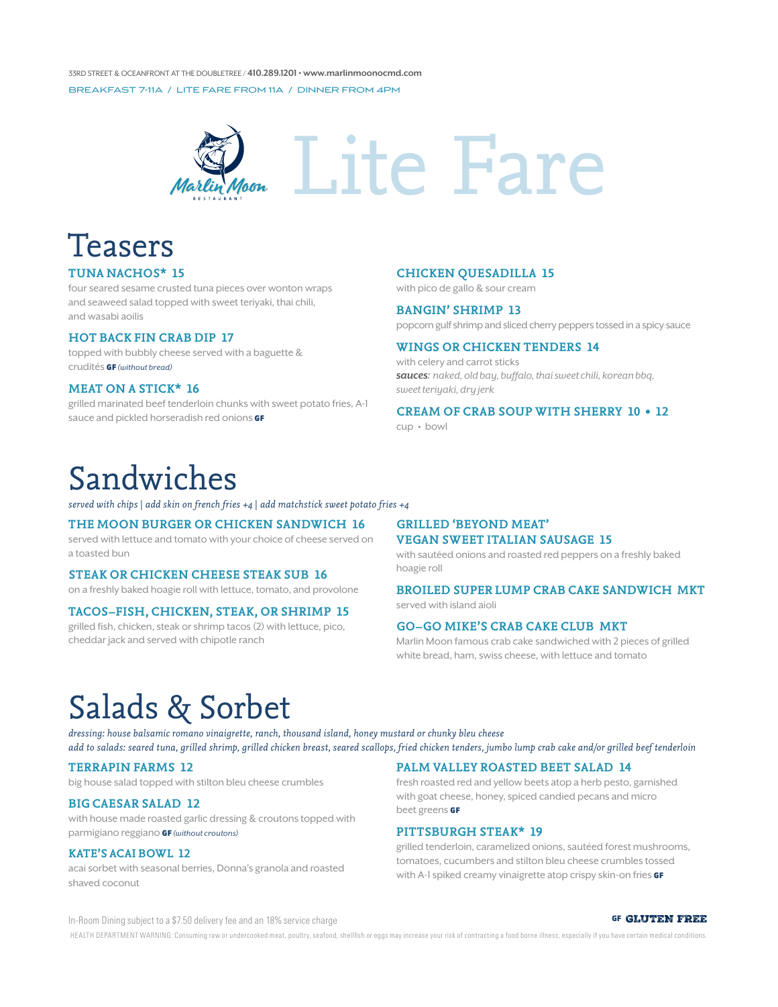33rd Street & Oceanfront at the DoubleTree / 410.289.1201 • www.marlinmoonocmd.com Breakfast 7-11a / Lite Fare From 11a / Dinner From 4pm



# **Lite Fare**

### Teasers

#### **tuna nachos\* 15**

four seared sesame crusted tuna pieces over wonton wraps and seaweed salad topped with sweet teriyaki, thai chili, and wasabi aoilis

#### **HOT BACK FIN CRAB DIP 17**

topped with bubbly cheese served with a baguette & crudités GF (without bread)

#### **MEAT ON A STICK\* 16**

grilled marinated beef tenderloin chunks with sweet potato fries, A-1 sauce and pickled horseradish red onions **GF** 

#### **chicken quesadilla 15**

with pico de gallo & sour cream

#### **bangin' shrimp 13**

popcorn gulf shrimp and sliced cherry peppers tossed in a spicy sauce

#### **wings or chicken tenders 14**

with celery and carrot sticks sauces: naked, old bay, buffalo, thai sweet chili, korean bbq, sweet teriyaki, dry jerk

#### **CREAM OF CRAB SOUP WITH SHERRY 10 • 12**

cup • bowl

### Sandwiches

*served with chips | add skin on french fries +4 | add matchstick sweet potato fries +4*

#### **the moon burger or chicken sandwich 16**

served with lettuce and tomato with your choice of cheese served on a toasted bun

#### **steak or chicken cheese steak sub 16**

on a freshly baked hoagie roll with lettuce, tomato, and provolone

#### **tacos–fish, chicken, steak, or shrimp 15**

grilled fish, chicken, steak or shrimp tacos (2) with lettuce, pico, cheddar jack and served with chipotle ranch

#### **GRILLED 'BEYOND MEAT' VEGAN SWEET ITALIAN SAUSAGE 15**

with sautéed onions and roasted red peppers on a freshly baked hoagie roll

#### **broiled super lump crab cake sandwich mkt** served with island aioli

#### **go–go mike's crab cake club mkt**

Marlin Moon famous crab cake sandwiched with 2 pieces of grilled white bread, ham, swiss cheese, with lettuce and tomato

### Salads & Sorbet

*dressing: house balsamic romano vinaigrette, ranch, thousand island, honey mustard or chunky bleu cheese add to salads: seared tuna, grilled shrimp, grilled chicken breast, seared scallops, fried chicken tenders, jumbo lump crab cake and/or grilled beef tenderloin*

#### **terrapin farms 12**

big house salad topped with stilton bleu cheese crumbles

#### **big caesar salad 12**

with house made roasted garlic dressing & croutons topped with parmigiano reggiano GF (without croutons)

#### **Kate's Acai Bowl 12**

acai sorbet with seasonal berries, Donna's granola and roasted shaved coconut

#### **palm valley roasted beet salad 14**

fresh roasted red and yellow beets atop a herb pesto, garnished with goat cheese, honey, spiced candied pecans and micro beet greens GF

#### **pittsburgh steak\* 19**

grilled tenderloin, caramelized onions, sautéed forest mushrooms, tomatoes, cucumbers and stilton bleu cheese crumbles tossed with A-1 spiked creamy vinaigrette atop crispy skin-on fries GF

In-Room Dining subject to a \$7.50 delivery fee and an 18% service charge  $\blacksquare$  GF GLUTEN FREE

HEALTH DEPARTMENT WARNING: Consuming raw or undercooked meat, poultry, seafood, shellfish or eggs may increase your risk of contracting a food borne illness, especially if you have certain medical conditions.